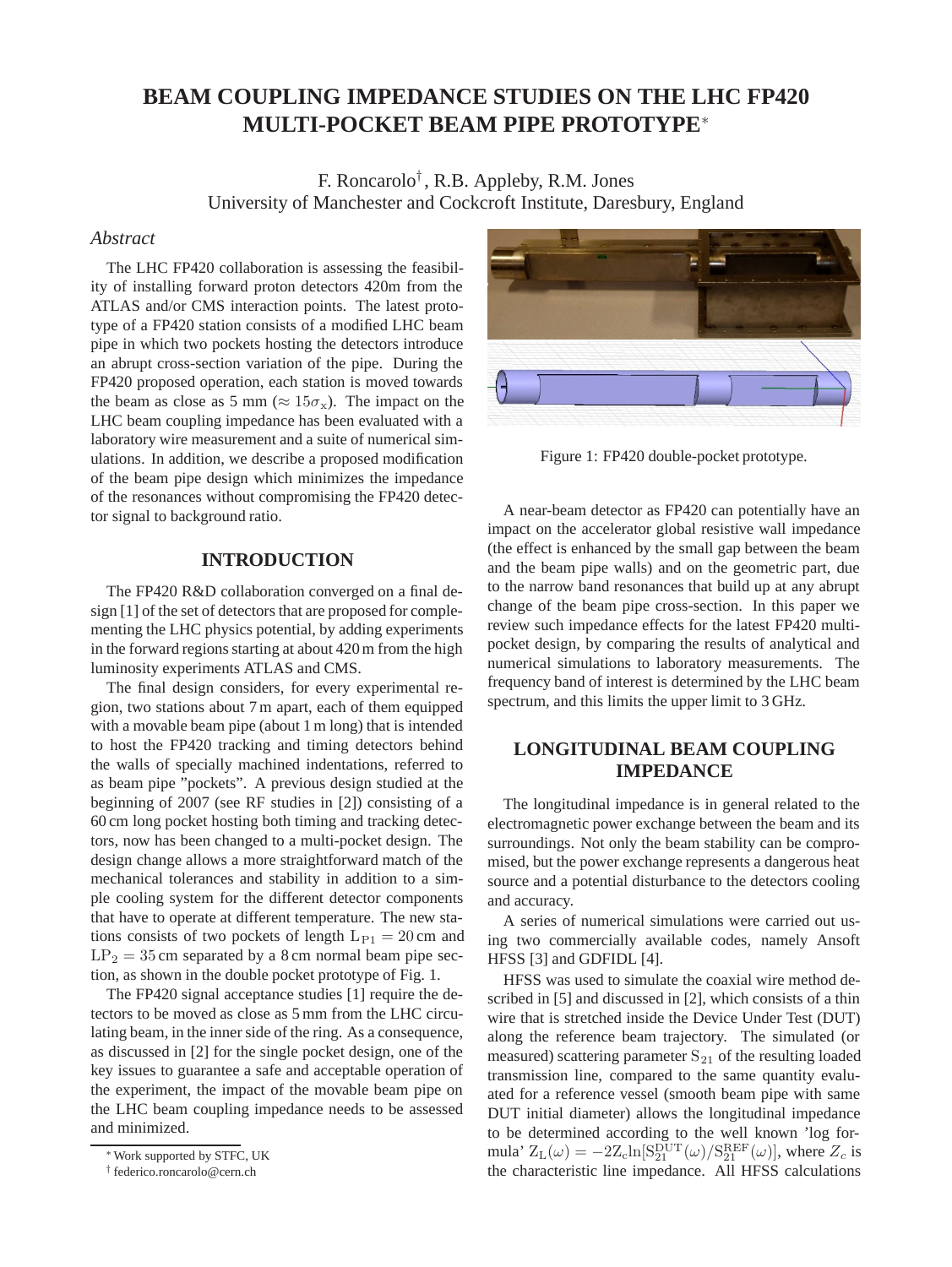# **BEAM COUPLING IMPEDANCE STUDIES ON THE LHC FP420 MULTI-POCKET BEAM PIPE PROTOTYPE**<sup>∗</sup>

F. Roncarolo*†* , R.B. Appleby, R.M. Jones University of Manchester and Cockcroft Institute, Daresbury, England

## *Abstract*

The LHC FP420 collaboration is assessing the feasibility of installing forward proton detectors 420m from the ATLAS and/or CMS interaction points. The latest prototype of a FP420 station consists of a modified LHC beam pipe in which two pockets hosting the detectors introduce an abrupt cross-section variation of the pipe. During the FP420 proposed operation, each station is moved towards the beam as close as 5 mm ( $\approx 15\sigma_{x}$ ). The impact on the LHC beam coupling impedance has been evaluated with a laboratory wire measurement and a suite of numerical simulations. In addition, we describe a proposed modification of the beam pipe design which minimizes the impedance of the resonances without compromising the FP420 detector signal to background ratio.

## **INTRODUCTION**

The FP420 R&D collaboration converged on a final design [1] of the set of detectors that are proposed for complementing the LHC physics potential, by adding experiments in the forward regions starting at about 420 m from the high luminosity experiments ATLAS and CMS.

The final design considers, for every experimental region, two stations about 7 m apart, each of them equipped with a movable beam pipe (about 1 m long) that is intended to host the FP420 tracking and timing detectors behind the walls of specially machined indentations, referred to as beam pipe "pockets". A previous design studied at the beginning of 2007 (see RF studies in [2]) consisting of a 60 cm long pocket hosting both timing and tracking detectors, now has been changed to a multi-pocket design. The design change allows a more straightforward match of the mechanical tolerances and stability in addition to a simple cooling system for the different detector components that have to operate at different temperature. The new stations consists of two pockets of length  $L_{P1} = 20$  cm and  $LP_2 = 35$  cm separated by a 8 cm normal beam pipe section, as shown in the double pocket prototype of Fig. 1.

The FP420 signal acceptance studies [1] require the detectors to be moved as close as 5 mm from the LHC circulating beam, in the inner side of the ring. As a consequence, as discussed in [2] for the single pocket design, one of the key issues to guarantee a safe and acceptable operation of the experiment, the impact of the movable beam pipe on the LHC beam coupling impedance needs to be assessed and minimized.



Figure 1: FP420 double-pocket prototype.

A near-beam detector as FP420 can potentially have an impact on the accelerator global resistive wall impedance (the effect is enhanced by the small gap between the beam and the beam pipe walls) and on the geometric part, due to the narrow band resonances that build up at any abrupt change of the beam pipe cross-section. In this paper we review such impedance effects for the latest FP420 multipocket design, by comparing the results of analytical and numerical simulations to laboratory measurements. The frequency band of interest is determined by the LHC beam spectrum, and this limits the upper limit to 3 GHz.

# **LONGITUDINAL BEAM COUPLING IMPEDANCE**

The longitudinal impedance is in general related to the electromagnetic power exchange between the beam and its surroundings. Not only the beam stability can be compromised, but the power exchange represents a dangerous heat source and a potential disturbance to the detectors cooling and accuracy.

A series of numerical simulations were carried out using two commercially available codes, namely Ansoft HFSS [3] and GDFIDL [4].

HFSS was used to simulate the coaxial wire method described in [5] and discussed in [2], which consists of a thin wire that is stretched inside the Device Under Test (DUT) along the reference beam trajectory. The simulated (or measured) scattering parameter  $S_{21}$  of the resulting loaded transmission line, compared to the same quantity evaluated for a reference vessel (smooth beam pipe with same DUT initial diameter) allows the longitudinal impedance to be determined according to the well known 'log formula'  $Z_{\text{L}}(\omega) = -2Z_{\text{c}}\ln[\text{S}_{21}^{\text{DUT}}(\omega)/\text{S}_{21}^{\text{REF}}(\omega)]$ , where  $Z_c$  is the characteristic line impedance. All HFSS calculations

<sup>∗</sup>Work supported by STFC, UK

<sup>†</sup> federico.roncarolo@cern.ch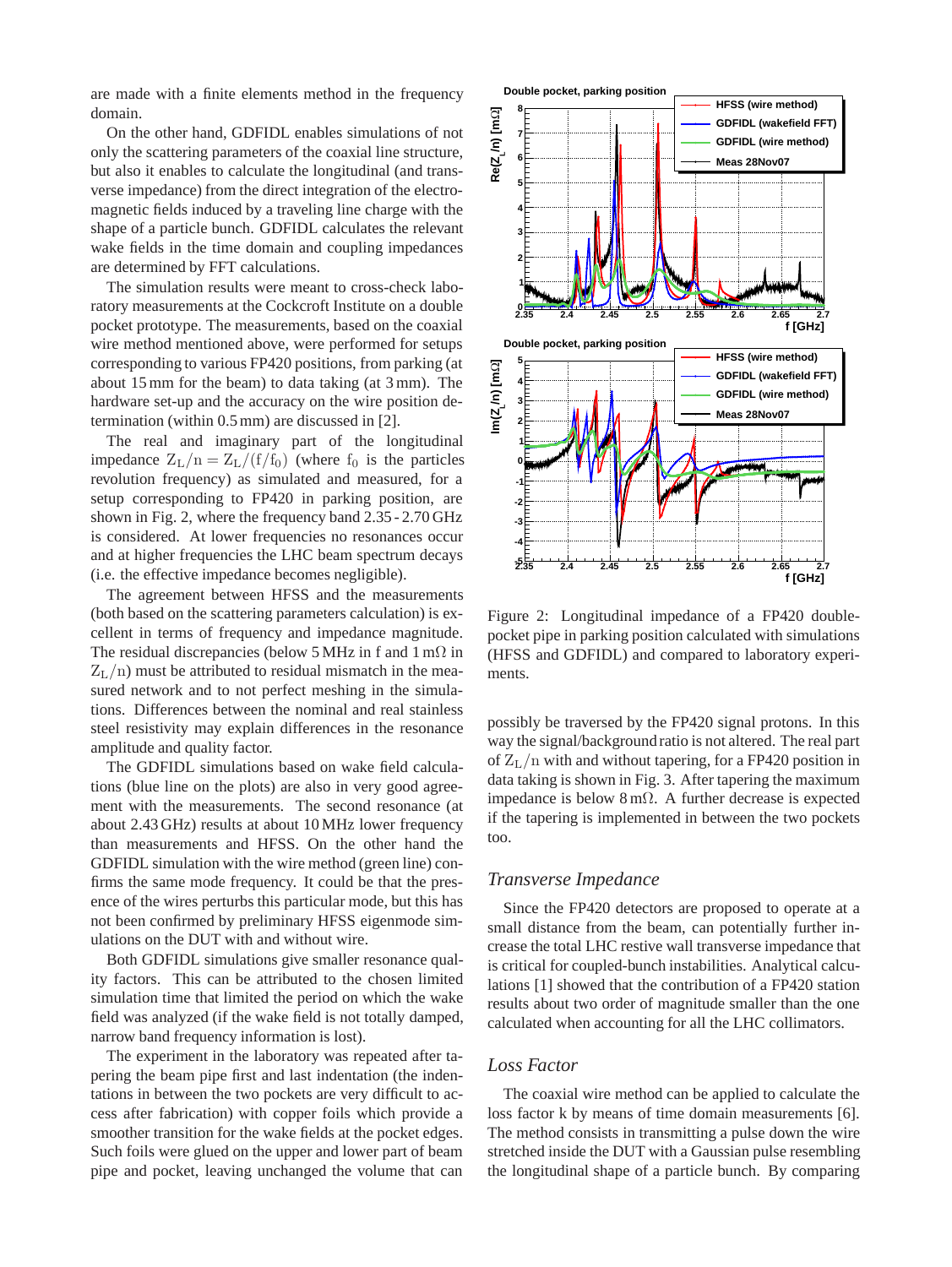are made with a finite elements method in the frequency domain.

On the other hand, GDFIDL enables simulations of not only the scattering parameters of the coaxial line structure, but also it enables to calculate the longitudinal (and transverse impedance) from the direct integration of the electromagnetic fields induced by a traveling line charge with the shape of a particle bunch. GDFIDL calculates the relevant wake fields in the time domain and coupling impedances are determined by FFT calculations.

The simulation results were meant to cross-check laboratory measurements at the Cockcroft Institute on a double pocket prototype. The measurements, based on the coaxial wire method mentioned above, were performed for setups corresponding to various FP420 positions, from parking (at about 15 mm for the beam) to data taking (at 3 mm). The hardware set-up and the accuracy on the wire position determination (within 0.5 mm) are discussed in [2].

The real and imaginary part of the longitudinal impedance  $Z_L/n = Z_L/(f/f_0)$  (where  $f_0$  is the particles revolution frequency) as simulated and measured, for a setup corresponding to FP420 in parking position, are shown in Fig. 2, where the frequency band 2.35 - 2.70 GHz is considered. At lower frequencies no resonances occur and at higher frequencies the LHC beam spectrum decays (i.e. the effective impedance becomes negligible).

The agreement between HFSS and the measurements (both based on the scattering parameters calculation) is excellent in terms of frequency and impedance magnitude. The residual discrepancies (below 5 MHz in f and  $1 \text{ m}\Omega$  in  $Z_{\text{L}}/n$ ) must be attributed to residual mismatch in the measured network and to not perfect meshing in the simulations. Differences between the nominal and real stainless steel resistivity may explain differences in the resonance amplitude and quality factor.

The GDFIDL simulations based on wake field calculations (blue line on the plots) are also in very good agreement with the measurements. The second resonance (at about 2.43 GHz) results at about 10 MHz lower frequency than measurements and HFSS. On the other hand the GDFIDL simulation with the wire method (green line) confirms the same mode frequency. It could be that the presence of the wires perturbs this particular mode, but this has not been confirmed by preliminary HFSS eigenmode simulations on the DUT with and without wire.

Both GDFIDL simulations give smaller resonance quality factors. This can be attributed to the chosen limited simulation time that limited the period on which the wake field was analyzed (if the wake field is not totally damped, narrow band frequency information is lost).

The experiment in the laboratory was repeated after tapering the beam pipe first and last indentation (the indentations in between the two pockets are very difficult to access after fabrication) with copper foils which provide a smoother transition for the wake fields at the pocket edges. Such foils were glued on the upper and lower part of beam pipe and pocket, leaving unchanged the volume that can



Figure 2: Longitudinal impedance of a FP420 doublepocket pipe in parking position calculated with simulations (HFSS and GDFIDL) and compared to laboratory experiments.

possibly be traversed by the FP420 signal protons. In this way the signal/background ratio is not altered. The real part of  $Z_L/n$  with and without tapering, for a FP420 position in data taking is shown in Fig. 3. After tapering the maximum impedance is below 8 mΩ. A further decrease is expected if the tapering is implemented in between the two pockets too.

## *Transverse Impedance*

Since the FP420 detectors are proposed to operate at a small distance from the beam, can potentially further increase the total LHC restive wall transverse impedance that is critical for coupled-bunch instabilities. Analytical calculations [1] showed that the contribution of a FP420 station results about two order of magnitude smaller than the one calculated when accounting for all the LHC collimators.

#### *Loss Factor*

The coaxial wire method can be applied to calculate the loss factor k by means of time domain measurements [6]. The method consists in transmitting a pulse down the wire stretched inside the DUT with a Gaussian pulse resembling the longitudinal shape of a particle bunch. By comparing